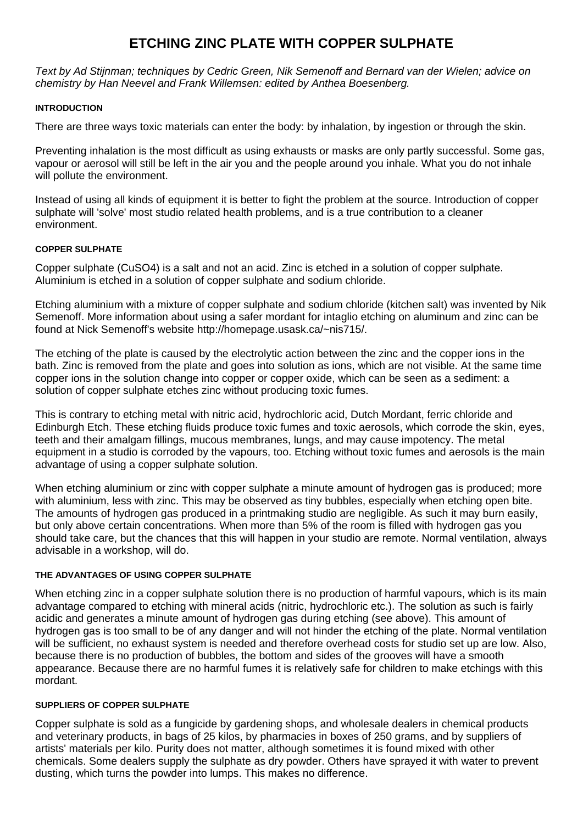# **ETCHING ZINC PLATE WITH COPPER SULPHATE**

*Text by Ad Stijnman; techniques by Cedric Green, Nik Semenoff and Bernard van der Wielen; advice on chemistry by Han Neevel and Frank Willemsen: edited by Anthea Boesenberg.*

#### **INTRODUCTION**

There are three ways toxic materials can enter the body: by inhalation, by ingestion or through the skin.

Preventing inhalation is the most difficult as using exhausts or masks are only partly successful. Some gas, vapour or aerosol will still be left in the air you and the people around you inhale. What you do not inhale will pollute the environment.

Instead of using all kinds of equipment it is better to fight the problem at the source. Introduction of copper sulphate will 'solve' most studio related health problems, and is a true contribution to a cleaner environment.

### **COPPER SULPHATE**

Copper sulphate (CuSO4) is a salt and not an acid. Zinc is etched in a solution of copper sulphate. Aluminium is etched in a solution of copper sulphate and sodium chloride.

Etching aluminium with a mixture of copper sulphate and sodium chloride (kitchen salt) was invented by Nik Semenoff. More information about using a safer mordant for intaglio etching on aluminum and zinc can be found at Nick Semenoff's website http://homepage.usask.ca/~nis715/.

The etching of the plate is caused by the electrolytic action between the zinc and the copper ions in the bath. Zinc is removed from the plate and goes into solution as ions, which are not visible. At the same time copper ions in the solution change into copper or copper oxide, which can be seen as a sediment: a solution of copper sulphate etches zinc without producing toxic fumes.

This is contrary to etching metal with nitric acid, hydrochloric acid, Dutch Mordant, ferric chloride and Edinburgh Etch. These etching fluids produce toxic fumes and toxic aerosols, which corrode the skin, eyes, teeth and their amalgam fillings, mucous membranes, lungs, and may cause impotency. The metal equipment in a studio is corroded by the vapours, too. Etching without toxic fumes and aerosols is the main advantage of using a copper sulphate solution.

When etching aluminium or zinc with copper sulphate a minute amount of hydrogen gas is produced; more with aluminium, less with zinc. This may be observed as tiny bubbles, especially when etching open bite. The amounts of hydrogen gas produced in a printmaking studio are negligible. As such it may burn easily, but only above certain concentrations. When more than 5% of the room is filled with hydrogen gas you should take care, but the chances that this will happen in your studio are remote. Normal ventilation, always advisable in a workshop, will do.

### **THE ADVANTAGES OF USING COPPER SULPHATE**

When etching zinc in a copper sulphate solution there is no production of harmful vapours, which is its main advantage compared to etching with mineral acids (nitric, hydrochloric etc.). The solution as such is fairly acidic and generates a minute amount of hydrogen gas during etching (see above). This amount of hydrogen gas is too small to be of any danger and will not hinder the etching of the plate. Normal ventilation will be sufficient, no exhaust system is needed and therefore overhead costs for studio set up are low. Also, because there is no production of bubbles, the bottom and sides of the grooves will have a smooth appearance. Because there are no harmful fumes it is relatively safe for children to make etchings with this mordant.

#### **SUPPLIERS OF COPPER SULPHATE**

Copper sulphate is sold as a fungicide by gardening shops, and wholesale dealers in chemical products and veterinary products, in bags of 25 kilos, by pharmacies in boxes of 250 grams, and by suppliers of artists' materials per kilo. Purity does not matter, although sometimes it is found mixed with other chemicals. Some dealers supply the sulphate as dry powder. Others have sprayed it with water to prevent dusting, which turns the powder into lumps. This makes no difference.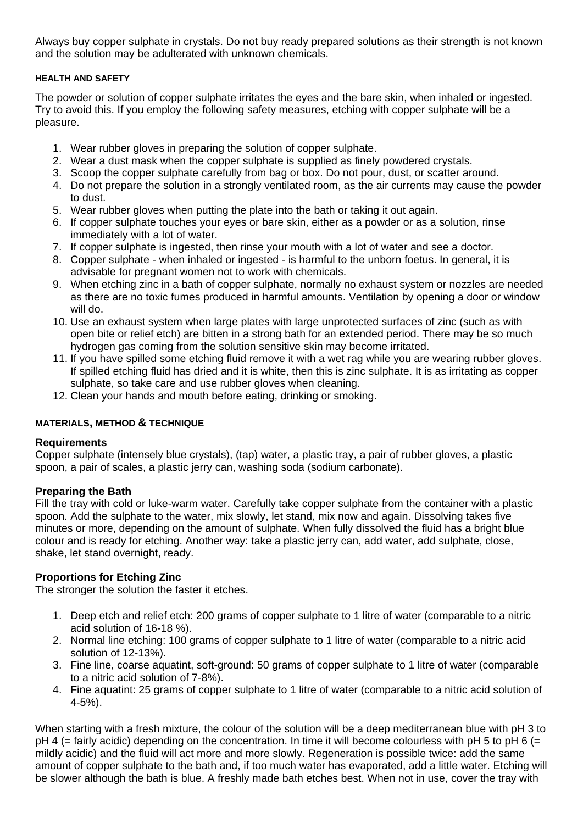Always buy copper sulphate in crystals. Do not buy ready prepared solutions as their strength is not known and the solution may be adulterated with unknown chemicals.

#### **HEALTH AND SAFETY**

The powder or solution of copper sulphate irritates the eyes and the bare skin, when inhaled or ingested. Try to avoid this. If you employ the following safety measures, etching with copper sulphate will be a pleasure.

- 1. Wear rubber gloves in preparing the solution of copper sulphate.
- 2. Wear a dust mask when the copper sulphate is supplied as finely powdered crystals.
- 3. Scoop the copper sulphate carefully from bag or box. Do not pour, dust, or scatter around.
- 4. Do not prepare the solution in a strongly ventilated room, as the air currents may cause the powder to dust.
- 5. Wear rubber gloves when putting the plate into the bath or taking it out again.
- 6. If copper sulphate touches your eyes or bare skin, either as a powder or as a solution, rinse immediately with a lot of water.
- 7. If copper sulphate is ingested, then rinse your mouth with a lot of water and see a doctor.
- 8. Copper sulphate when inhaled or ingested is harmful to the unborn foetus. In general, it is advisable for pregnant women not to work with chemicals.
- 9. When etching zinc in a bath of copper sulphate, normally no exhaust system or nozzles are needed as there are no toxic fumes produced in harmful amounts. Ventilation by opening a door or window will do.
- 10. Use an exhaust system when large plates with large unprotected surfaces of zinc (such as with open bite or relief etch) are bitten in a strong bath for an extended period. There may be so much hydrogen gas coming from the solution sensitive skin may become irritated.
- 11. If you have spilled some etching fluid remove it with a wet rag while you are wearing rubber gloves. If spilled etching fluid has dried and it is white, then this is zinc sulphate. It is as irritating as copper sulphate, so take care and use rubber gloves when cleaning.
- 12. Clean your hands and mouth before eating, drinking or smoking.

### **MATERIALS, METHOD & TECHNIQUE**

### **Requirements**

Copper sulphate (intensely blue crystals), (tap) water, a plastic tray, a pair of rubber gloves, a plastic spoon, a pair of scales, a plastic jerry can, washing soda (sodium carbonate).

### **Preparing the Bath**

Fill the tray with cold or luke-warm water. Carefully take copper sulphate from the container with a plastic spoon. Add the sulphate to the water, mix slowly, let stand, mix now and again. Dissolving takes five minutes or more, depending on the amount of sulphate. When fully dissolved the fluid has a bright blue colour and is ready for etching. Another way: take a plastic jerry can, add water, add sulphate, close, shake, let stand overnight, ready.

# **Proportions for Etching Zinc**

The stronger the solution the faster it etches.

- 1. Deep etch and relief etch: 200 grams of copper sulphate to 1 litre of water (comparable to a nitric acid solution of 16-18 %).
- 2. Normal line etching: 100 grams of copper sulphate to 1 litre of water (comparable to a nitric acid solution of 12-13%).
- 3. Fine line, coarse aquatint, soft-ground: 50 grams of copper sulphate to 1 litre of water (comparable to a nitric acid solution of 7-8%).
- 4. Fine aquatint: 25 grams of copper sulphate to 1 litre of water (comparable to a nitric acid solution of 4-5%).

When starting with a fresh mixture, the colour of the solution will be a deep mediterranean blue with pH 3 to  $pH 4$  (= fairly acidic) depending on the concentration. In time it will become colourless with  $pH 5$  to  $pH 6$  (= mildly acidic) and the fluid will act more and more slowly. Regeneration is possible twice: add the same amount of copper sulphate to the bath and, if too much water has evaporated, add a little water. Etching will be slower although the bath is blue. A freshly made bath etches best. When not in use, cover the tray with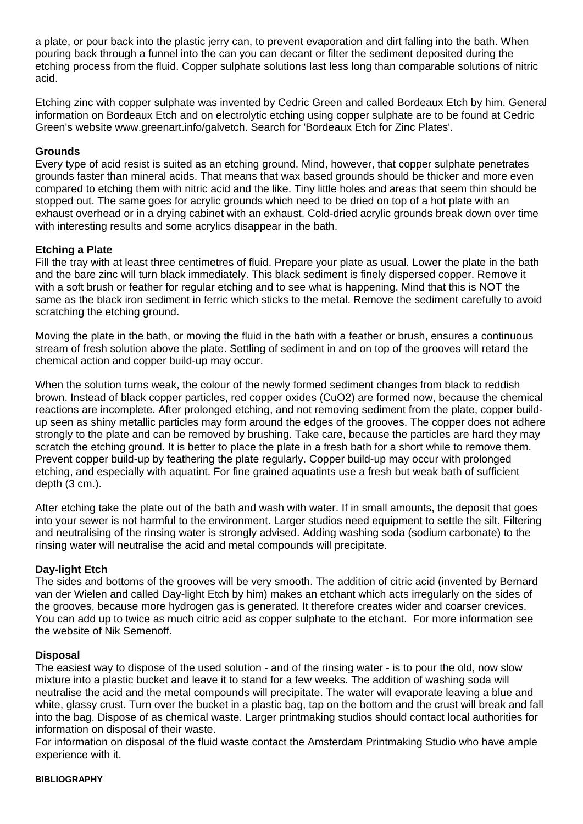a plate, or pour back into the plastic jerry can, to prevent evaporation and dirt falling into the bath. When pouring back through a funnel into the can you can decant or filter the sediment deposited during the etching process from the fluid. Copper sulphate solutions last less long than comparable solutions of nitric acid.

Etching zinc with copper sulphate was invented by Cedric Green and called Bordeaux Etch by him. General information on Bordeaux Etch and on electrolytic etching using copper sulphate are to be found at Cedric Green's website www.greenart.info/galvetch. Search for 'Bordeaux Etch for Zinc Plates'.

### **Grounds**

Every type of acid resist is suited as an etching ground. Mind, however, that copper sulphate penetrates grounds faster than mineral acids. That means that wax based grounds should be thicker and more even compared to etching them with nitric acid and the like. Tiny little holes and areas that seem thin should be stopped out. The same goes for acrylic grounds which need to be dried on top of a hot plate with an exhaust overhead or in a drying cabinet with an exhaust. Cold-dried acrylic grounds break down over time with interesting results and some acrylics disappear in the bath.

## **Etching a Plate**

Fill the tray with at least three centimetres of fluid. Prepare your plate as usual. Lower the plate in the bath and the bare zinc will turn black immediately. This black sediment is finely dispersed copper. Remove it with a soft brush or feather for regular etching and to see what is happening. Mind that this is NOT the same as the black iron sediment in ferric which sticks to the metal. Remove the sediment carefully to avoid scratching the etching ground.

Moving the plate in the bath, or moving the fluid in the bath with a feather or brush, ensures a continuous stream of fresh solution above the plate. Settling of sediment in and on top of the grooves will retard the chemical action and copper build-up may occur.

When the solution turns weak, the colour of the newly formed sediment changes from black to reddish brown. Instead of black copper particles, red copper oxides (CuO2) are formed now, because the chemical reactions are incomplete. After prolonged etching, and not removing sediment from the plate, copper buildup seen as shiny metallic particles may form around the edges of the grooves. The copper does not adhere strongly to the plate and can be removed by brushing. Take care, because the particles are hard they may scratch the etching ground. It is better to place the plate in a fresh bath for a short while to remove them. Prevent copper build-up by feathering the plate regularly. Copper build-up may occur with prolonged etching, and especially with aquatint. For fine grained aquatints use a fresh but weak bath of sufficient depth (3 cm.).

After etching take the plate out of the bath and wash with water. If in small amounts, the deposit that goes into your sewer is not harmful to the environment. Larger studios need equipment to settle the silt. Filtering and neutralising of the rinsing water is strongly advised. Adding washing soda (sodium carbonate) to the rinsing water will neutralise the acid and metal compounds will precipitate.

### **Day-light Etch**

The sides and bottoms of the grooves will be very smooth. The addition of citric acid (invented by Bernard van der Wielen and called Day-light Etch by him) makes an etchant which acts irregularly on the sides of the grooves, because more hydrogen gas is generated. It therefore creates wider and coarser crevices. You can add up to twice as much citric acid as copper sulphate to the etchant. For more information see the website of Nik Semenoff.

### **Disposal**

The easiest way to dispose of the used solution - and of the rinsing water - is to pour the old, now slow mixture into a plastic bucket and leave it to stand for a few weeks. The addition of washing soda will neutralise the acid and the metal compounds will precipitate. The water will evaporate leaving a blue and white, glassy crust. Turn over the bucket in a plastic bag, tap on the bottom and the crust will break and fall into the bag. Dispose of as chemical waste. Larger printmaking studios should contact local authorities for information on disposal of their waste.

For information on disposal of the fluid waste contact the Amsterdam Printmaking Studio who have ample experience with it.

#### **BIBLIOGRAPHY**